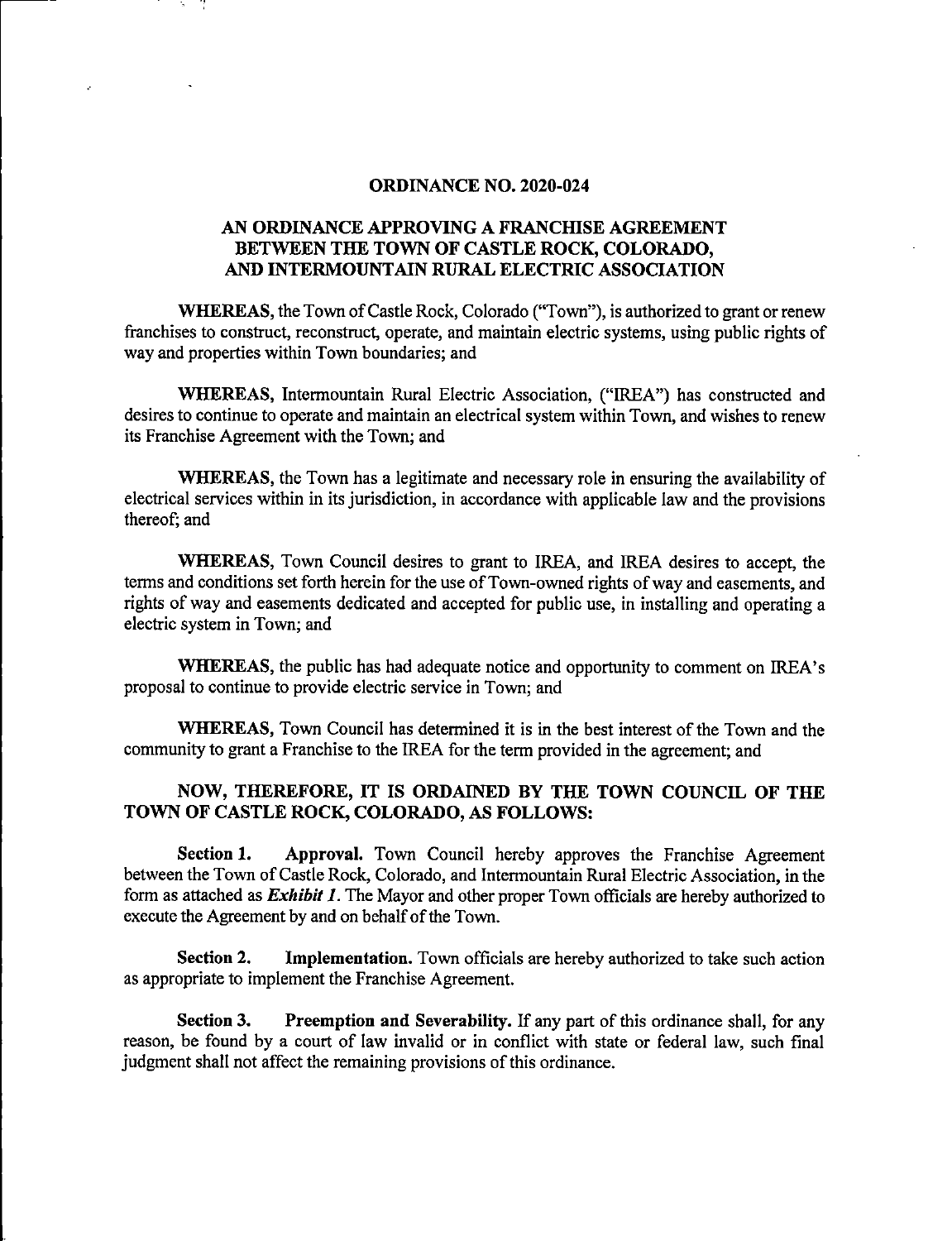#### ORDINANCE NO. 2020-024

## AN ORDINANCE APPROVING A FRANCHISE AGREEMENT BETWEEN THE TOWN OF CASTLE ROCK, COLORADO, AND INTERMOUNTAIN RURAL ELECTRIC ASSOCIATION

WHEREAS, the Town of Castle Rock, Colorado ("Town"), is authorized to grant or renew franchises to construct, reconstruct, operate, and maintain electric systems, using public rights of way and properties within Town boundaries; and

WHEREAS, Intermountain Rural Electric Association, ("IREA") has constructed and desires to continue to operate and maintain an electrical system within Town, and wishes to renew its Franchise Agreement with the Town; and

WHEREAS, the Town has a legitimate and necessary role in ensuring the availability of electrical serviceswithin in its jurisdiction, in accordance with applicable law and the provisions thereof; and

WHEREAS, Town Council desires to grant to IREA, and IREA desires to accept, the terms and conditions set forth herein for the use of Town-owned rights of way and easements, and rights of way and easements dedicated and accepted for public use, in installing and operating a electric system in Town; and

WHEREAS, the public has had adequate notice and opportunity to comment on IREA's proposal to continue to provide electric service in Town; and

WHEREAS, Town Council has determined it is in the best interest of the Town and the community to grant a Franchise to the IREA for the term provided in the agreement; and

## NOW, THEREFORE, IT IS ORDAINED BY THE TOWN COUNCIL OF THE TOWN OF CASTLE ROCK, COLORADO, AS FOLLOWS:

Section 1. Approval. Town Council hereby approves the Franchise Agreement between the Town of Castle Rock, Colorado, and Intermountain Rural Electric Association, in the form as attached as Exhibit 1. The Mayor and other proper Town officials are hereby authorized to execute the Agreement by and on behalf of the Town.

Section 2. Implementation. Town officials are hereby authorized to take such action as appropriate to implement the Franchise Agreement.

Section 3. Preemption and Severability. If any part of this ordinance shall, for any reason, be found by a court of law invalid or in conflict with state or federal law, such final judgment shall not affect the remaining provisions of this ordinance.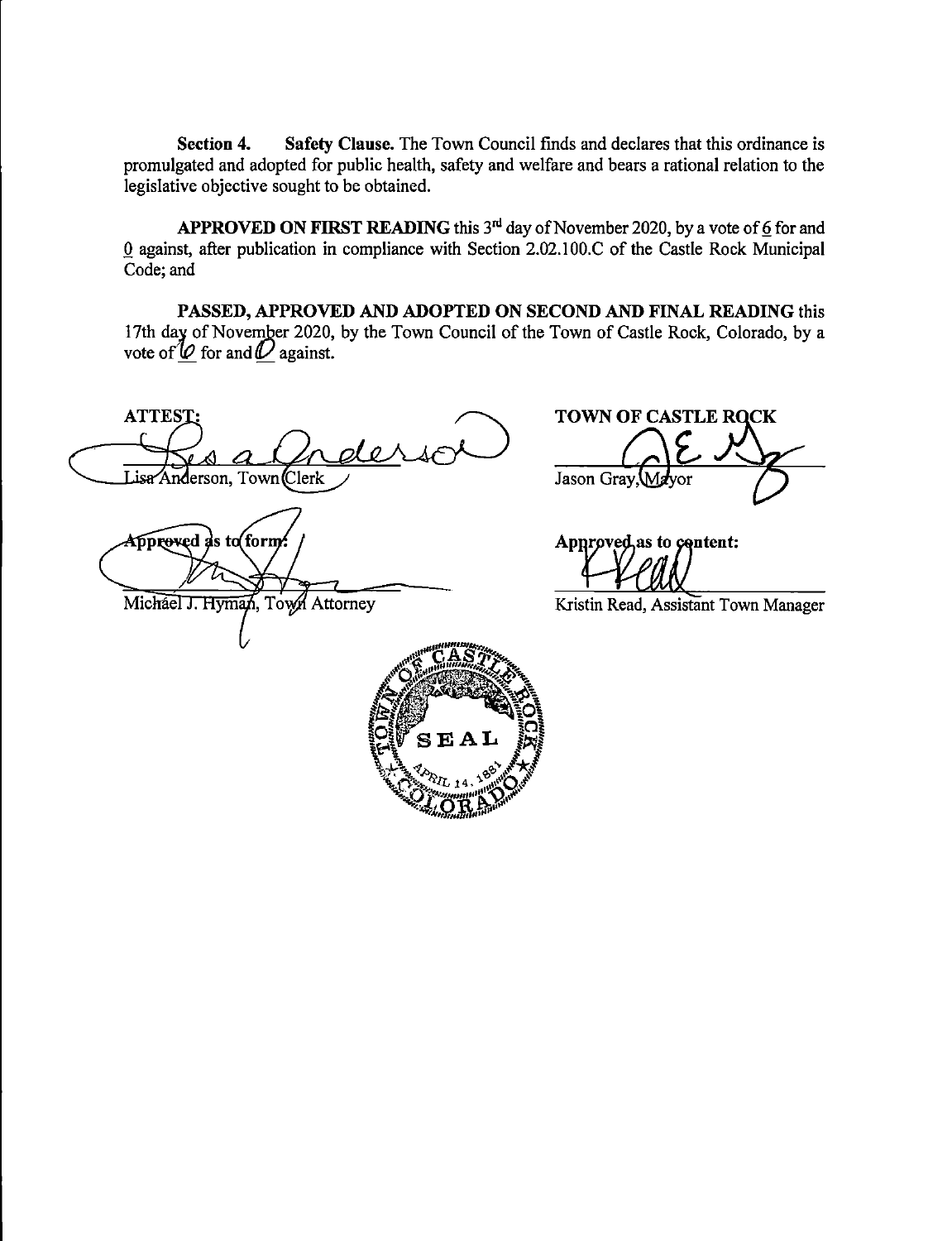Section 4. Safety Clause. The Town Council finds and declares that this ordinance is promulgated and adopted for public health, safety and welfare and bears a rational relation to the legislative objective sought to be obtained.

APPROVED ON FIRST READING this  $3<sup>rd</sup>$  day of November 2020, by a vote of 6 for and 0 against, after publication in compliance with Section 2.02.100.C of the Castle Rock Municipal Code; and

PASSED, APPROVED AND ADOPTED ON SECOND AND FINAL READING this 17th day of November 2020, by the Town Council of the Town of Castle Rock, Colorado, by a vote of  $\varphi$  for and  $\varphi$  against.

ATTEST: TOWN OF CASTLE ROCK  $\mathcal{O}$  $\epsilon$ erson, Town Clerk Jason Gray, Mayor Approved as to form Michael J. Hyman, Town Attorney  $\mathbf S\, \mathbf E\, \mathbf A\, \mathbf L$ 

Approved as to content:

Kristin Read, Assistant Town Manager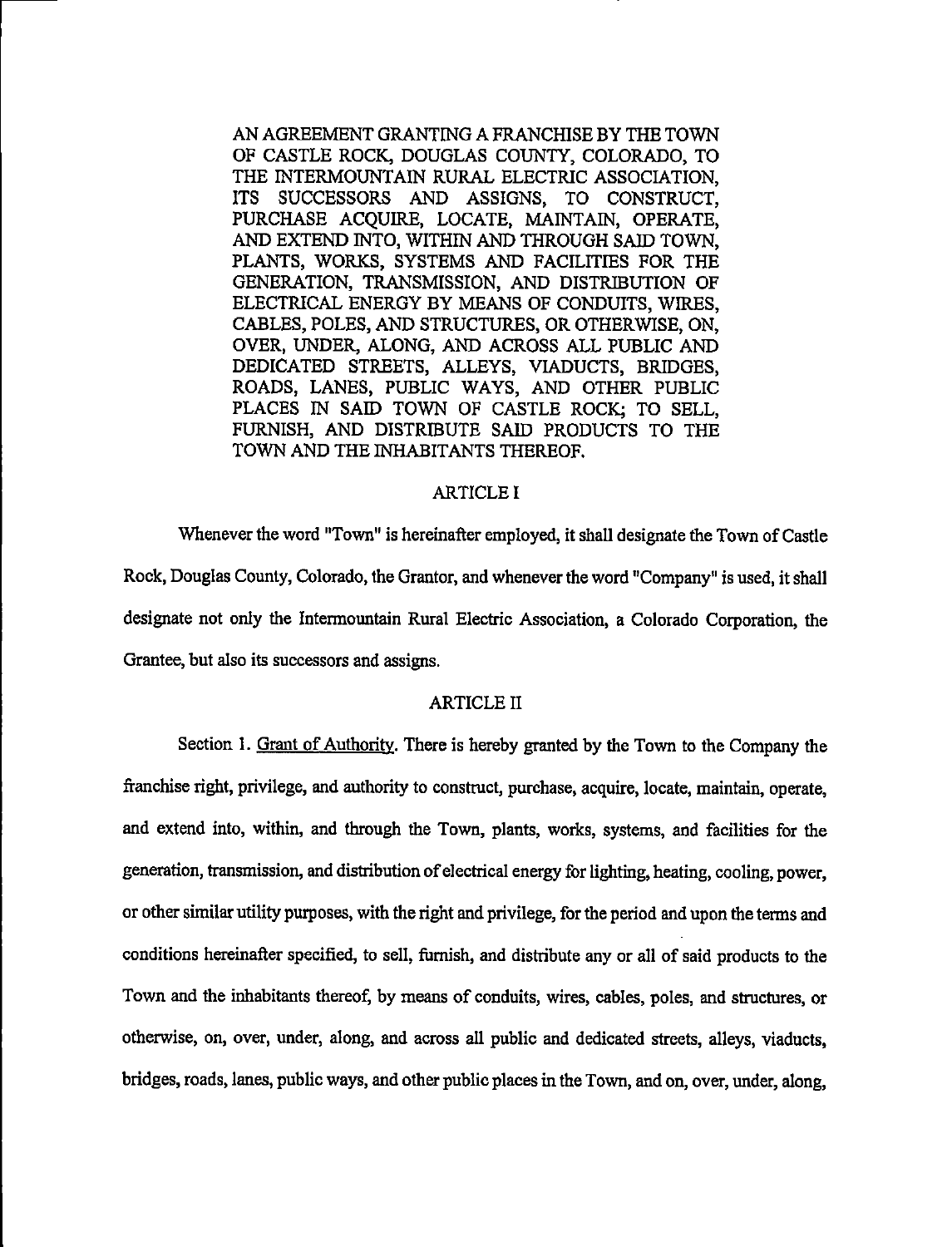AN AGREEMENT GRANTING A FRANCHISE BY THE TOWN OF CASTLE ROCK, DOUGLAS COUNTY, COLORADO, TO THE INTERMOUNTAIN RURAL ELECTRIC ASSOCIATION, ITS SUCCESSORS AND ASSIGNS, TO CONSTRUCT, PURCHASE ACQUIRE. LOCATE, MAINTAIN, OPERATE, AND EXTEND INTO, WITHIN AND THROUGH SAID TOWN, PLANTS, WORKS, SYSTEMS AND FACILITIES FOR THE GENERATION, TRANSMISSION, AND DISTRIBUTION OF ELECTRICAL ENERGY BY MEANS OF CONDUITS, WIRES, CABLES, POLES, AND STRUCTURES, OR OTHERWISE, ON, OVER. UNDER, ALONG, AND ACROSS ALL PUBLIC AND DEDICATED STREETS, ALLEYS, VIADUCTS, BRIDGES. ROADS, LANES, PUBLIC WAYS, AND OTHER PUBLIC PLACES IN SAID TOWN OF CASTLE ROCK; TO SELL, FURNISH, AND DISTRIBUTE SAID PRODUCTS TO THE TOWN AND THE INHABITANTS THEREOF.

#### ARTICLE I

Whenever the word "Town" is hereinafter employed, it shall designate the Town of Castle Rock. Douglas County, Colorado, the Grantor, andwhenever theword"Company" is used, it shall designate not only the Intermountain Rural Electric Association, a Colorado Corporation, the Grantee, but also its successors and assigns.

## ARTICLE II

Section 1. Grant of Authority. There is hereby granted by the Town to the Company the franchise right, privilege, and authority to construct, purchase, acquire, locate, maintain, operate, and extend into, within, and through the Town, plants, works, systems, and facilities for die generation, transmission, and distribution of electrical energy for lighting, heating, cooling, power, or other similar utility purposes, with the right and privilege, for the period and upon the terms and conditions hereinafter specified, to sell, furnish, and distribute any or all of said products to the Town and the inhabitants thereof, by means of conduits, wires, cables, poles, and structures, or otherwise, on, over, under, along, and across all public and dedicated streets, alleys, viaducts, bridges, roads, lanes, public ways, and other public places in the Town, and on, over, under, along,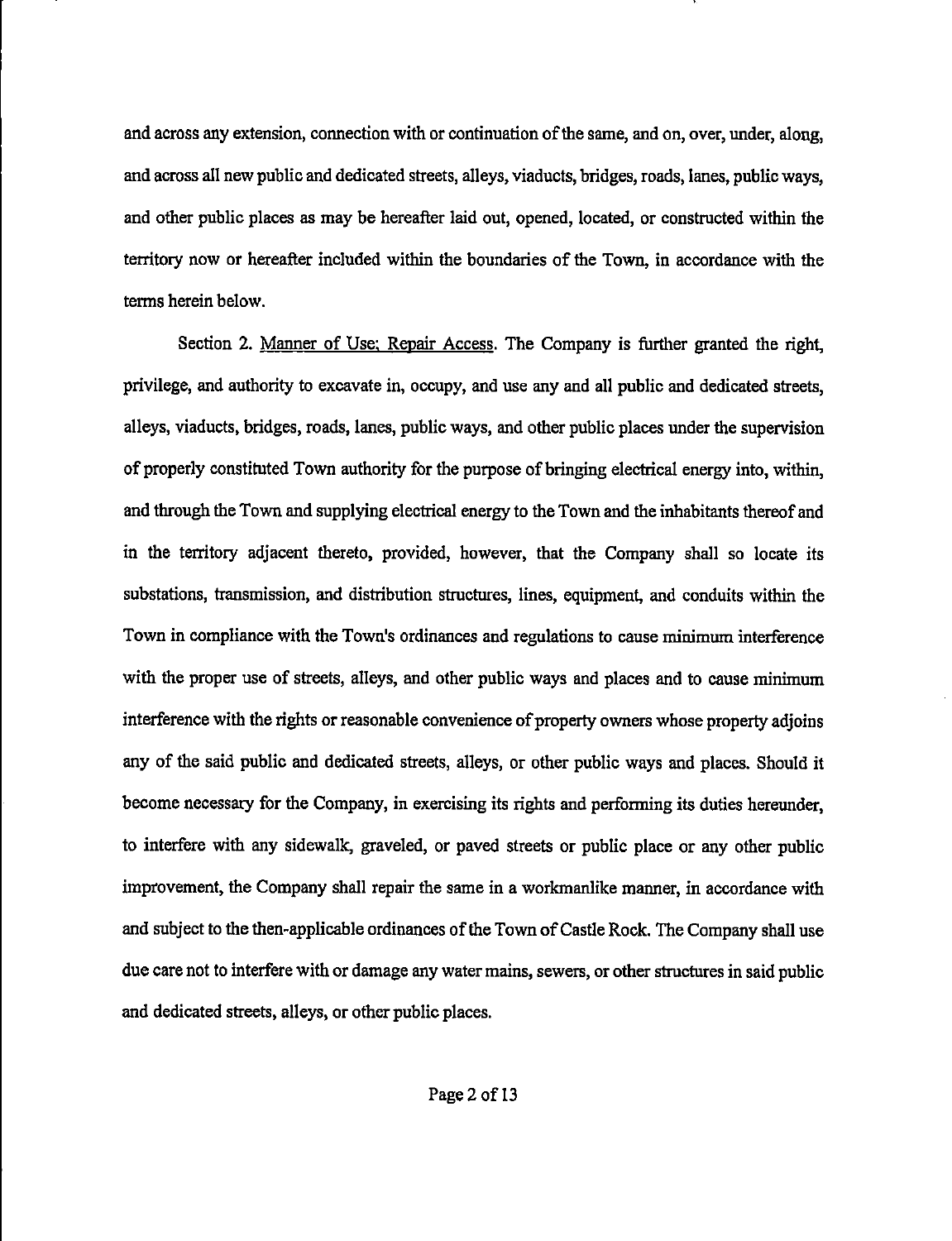and across any extension, connection with or continuation of the same, and on, over, under, along, and across all new public and dedicated streets, alleys, viaducts, bridges, roads, lanes, public ways, and other public places as may be hereafter laid out, opened, located, or constructed within the territory now or hereafter included within the boundaries of the Town, in accordance with the terms herein below.

Section 2. Manner of Use: Repair Access. The Company is further granted the right, privilege, and authority to excavate in, occupy, and use any and all public and dedicated streets, alleys, viaducts, bridges, roads, lanes, public ways, and other public places under the supervision of properly constituted Town authority for the purpose of bringing electrical energy into, within, and through the Town and supplying electrical energy to the Town and the inhabitants thereof and in the territory adjacent thereto, provided, however, that the Company shall so locate its substations, transmission, and distribution structures, lines, equipment, and conduits within the Town in compliance with the Town's ordinances and regulations to cause minimum interference with the proper use of streets, alleys, and other public ways and places and to cause minimum interference with the rights or reasonable convenience of property owners whose property adjoins any of the said public and dedicated streets, alleys, or other public ways and places. Should it become necessary for the Company, in exercising its rights and performing its duties hereunder, to interfere with any sidewalk, graveled, or paved streets or public place or any other public improvement, the Company shall repair the same in a workmanlike manner, in accordance with and subject to the then-applicable ordinances of the Town of Castle Rock. The Company shall use due care not to interfere with or damage any water mains, sewers, or other structures in said public and dedicated streets, alleys, or other public places.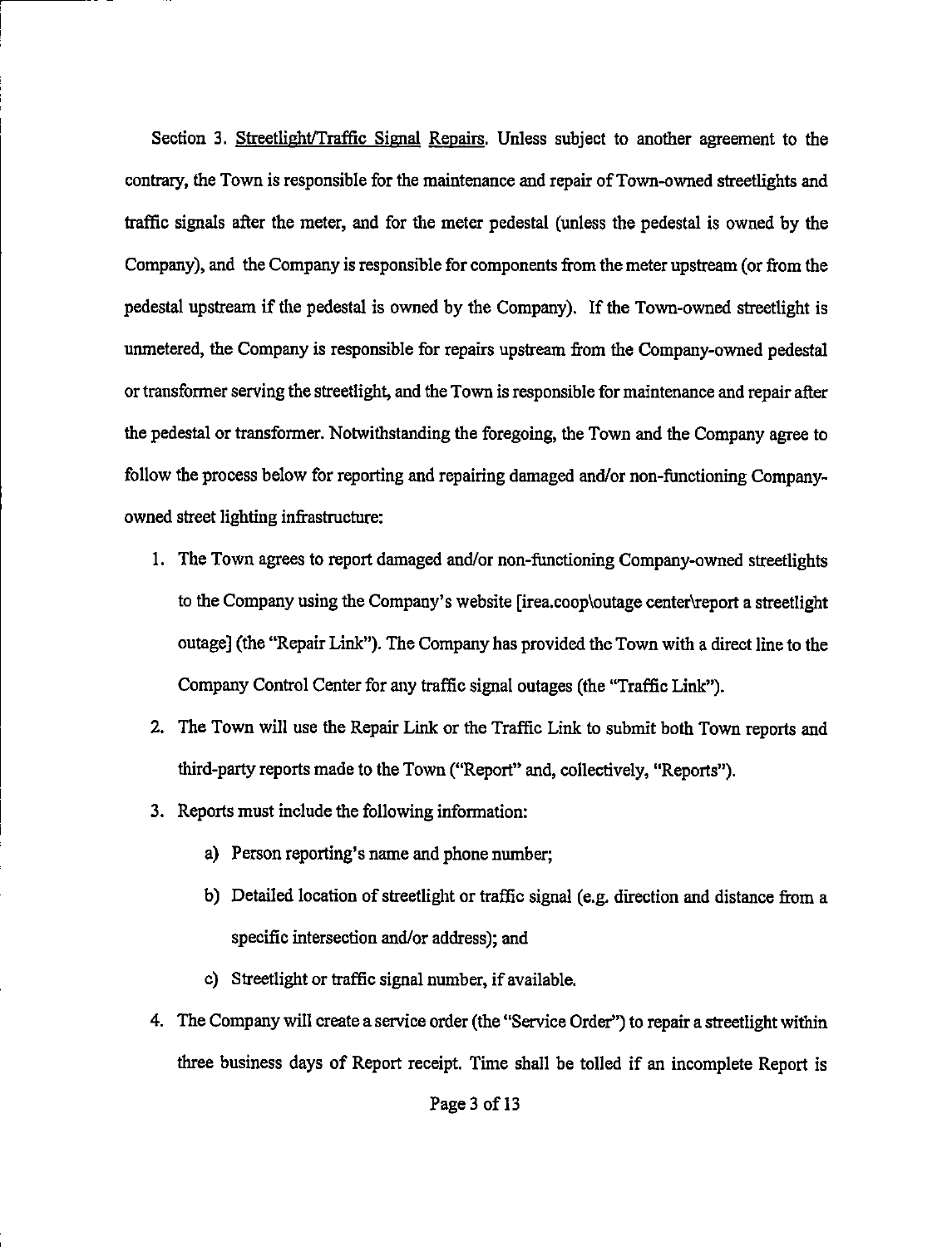Section 3. Streetlight/Traffic Signal Repairs. Unless subject to another agreement to the contrary, the Town is responsible for the maintenance and repair of Town-owned streetlights and traffic signals after the meter, and for the meter pedestal (unless the pedestal is owned by the Company), and the Company is responsible for components from the meter upstream (or from the pedestal upstream if the pedestal is owned by the Company). If the Town-owned streetlight is unmetered, the Company is responsible for repairs upstream from the Company-owned pedestal or transformer serving the streetlight, and the Town is responsible for maintenance and repair after the pedestal or transformer. Notwithstanding the foregoing, the Town and the Companyagree to follow the process below for reporting and repairing damaged and/or non-functioning Companyowned street lighting infrastructure:

- 1. The Town agrees to report damaged and/or non-functioning Company-owned streetlights to the Company using the Company's website [irea.coop\outage center\report a streetlight outage] (the "Repair Link"). The Company has provided the Town with a direct line to the Company Control Center for any traffic signal outages (the "Traffic Link").
- 2. The Town will use the Repair Link or the Traffic Link to submit both Town reports and third-party reports made to the Town ("Report" and, collectively, "Reports").
- 3. Reports must include the following information:
	- a) Person reporting's name and phone number;
	- b) Detailed location of streetlight or traffic signal (e.g. direction and distance from a specific intersection and/or address); and
	- c) Streetlight or traffic signal number, if available.
- 4. The Company will create a service order (the "Service Order") to repair a streetlight within three business days of Report receipt. Time shall be tolled if an incomplete Report is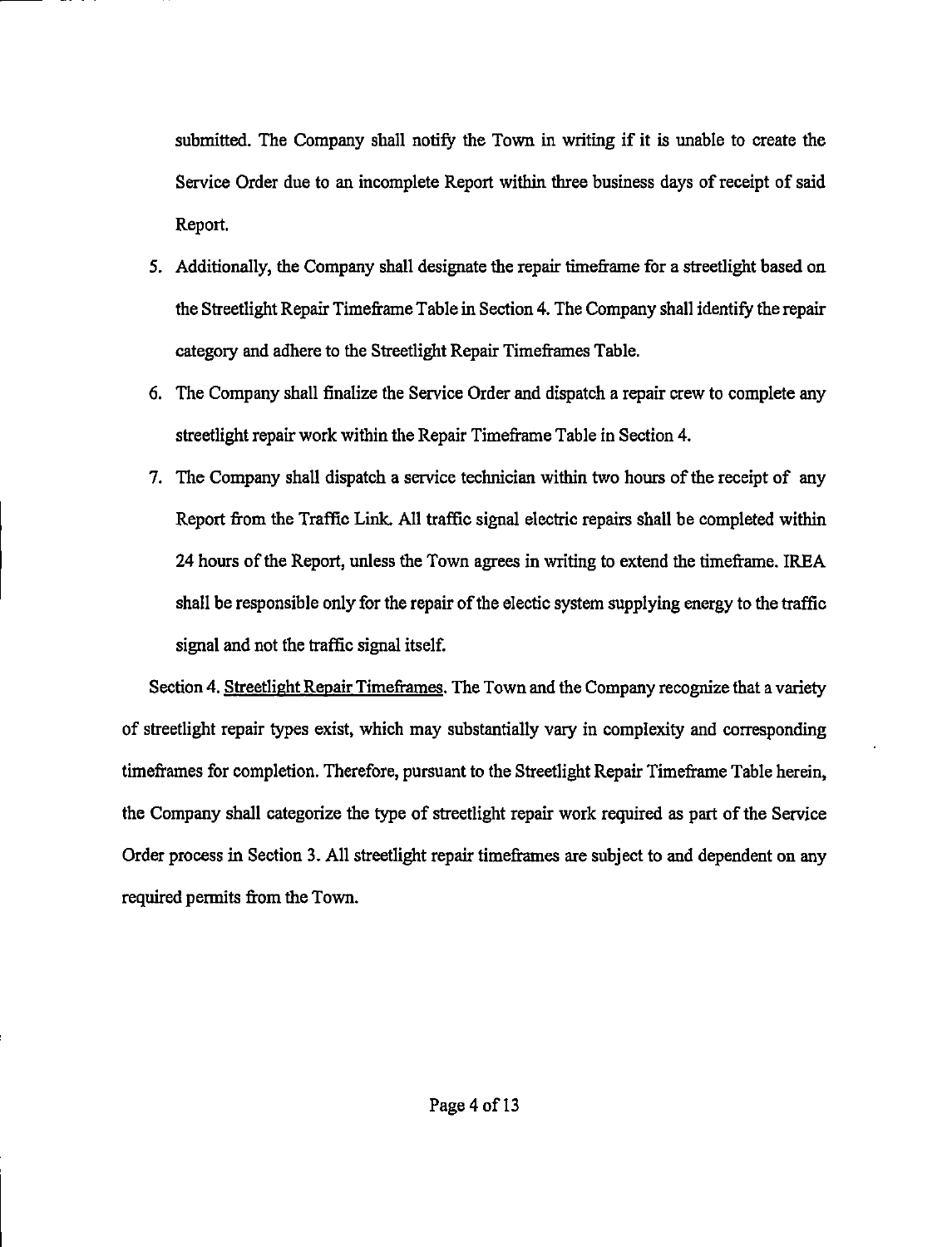submitted. The Company shall notify the Town in writing if it is unable to create the Service Order due to an incomplete Report within three business days of receipt of said Report.

- 5. Additionally, the Company shall designate the repair timeframe for a streetlight based on the Streetlight Repair Timeframe Table in Section 4. The Company shall identify the repair category and adhere to the Streetli^t Repair Timeframes Table.
- 6. The Company shall finalize the Service Order and dispatch a repair crew to complete any streetlight repair work within the Repair Timeframe Table in Section 4.
- 7. The Company shall dispatch a service technician within two hours of the receipt of any Report from the Traffic Link. All traffic signal electric repairs shall be completed within 24 hours of the Report, unless the Town agrees in writing to extend the timeframe. IREA shall be responsible only for the repair of the electic system supplying energy to the traffic signal and not the traffic signal itself.

Section 4. Streetlight Repair Timeframes. The Town and the Company recognize that a variety of streetlight repair types exist, which may substantially vary in complexity and corresponding timeframes for completion. Therefore, pursuant to the Streetlight Repair Timeframe Table herein, the Company shall categorize the type of streetlight repair work required as part of the Service Order process in Section 3. All streetlight repair timeframes are subject to and dependent on any required permits from the Town.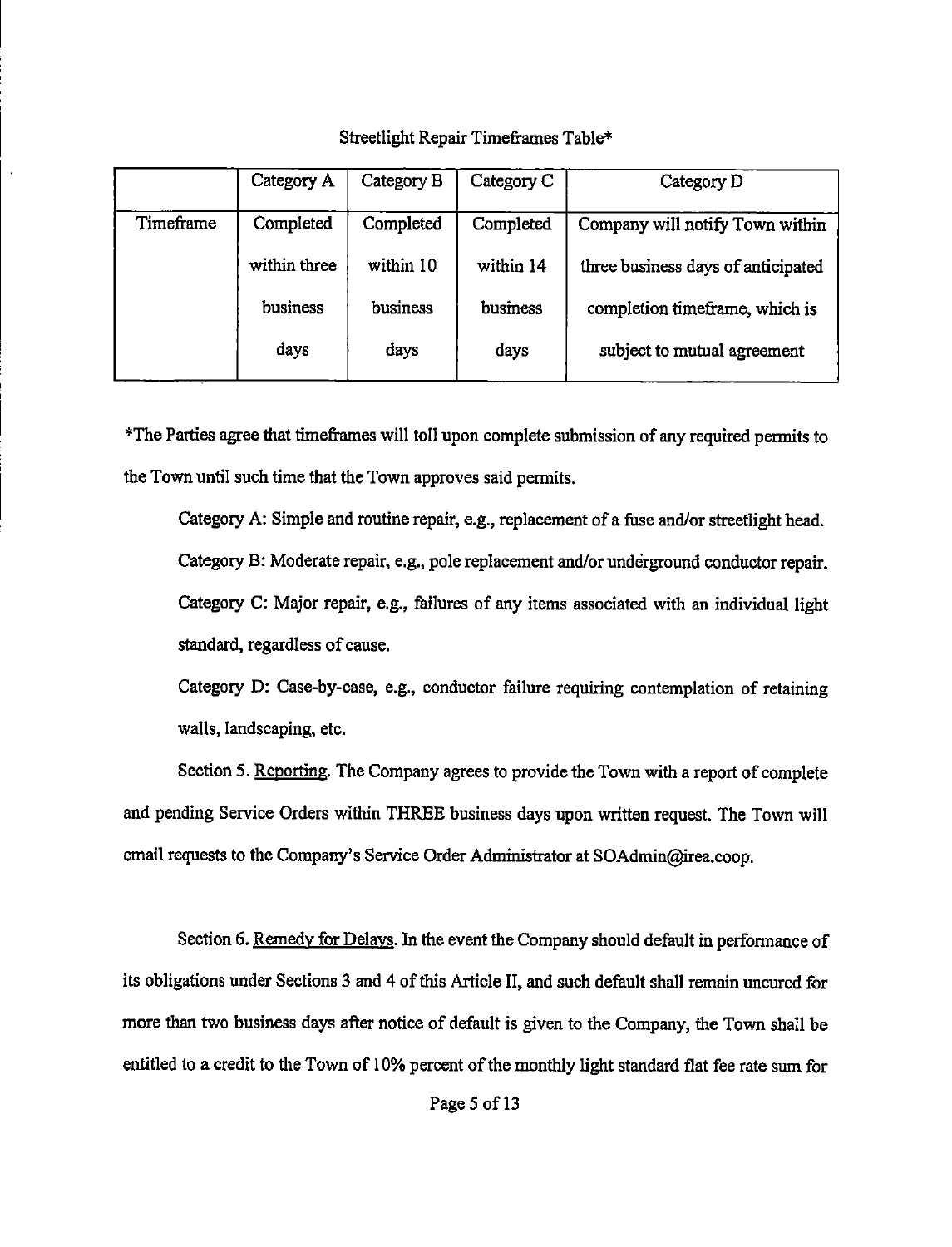Streetlight Repair Timeframes Table\*

|           | Category A   | Category B | Category C | Category D                         |
|-----------|--------------|------------|------------|------------------------------------|
| Timeframe | Completed    | Completed  | Completed  | Company will notify Town within    |
|           | within three | within 10  | within 14  | three business days of anticipated |
|           | business     | business   | business   | completion timeframe, which is     |
|           | days         | days       | days       | subject to mutual agreement        |

\*The Parties agree that timeframes will toll upon complete submission of any required permits to the Town until such time that the Town approves said permits.

Category A: Simple and routine repair, e.g., replacement of a fuse and/or streetlight head. Category B: Moderate repair, e.g., pole replacement and/or underground conductor repair. Category C: Major repair, e.g., failures of any items associated with an individual light standard, regardless of cause.

Category D: Case-by-case, e.g., conductor failure requiring contemplation of retaining walls, landscaping, etc.

Section 5. Reporting. The Company agrees to provide the Town with a report of complete and pending Service Orders within THREE business days upon written request. The Town will email requests to the Company's Service Order Administrator at SOAdmin@irea.coop.

Section 6. Remedy for Delays. In the event the Company should default in performance of its obligations under Sections 3 and 4 ofthis Article II, and such default shall remain uncured for more than two business days after notice of default is given to the Company, the Town shall be entitled to a credit to the Town of 10% percent of the monthly light standard flat fee rate sum for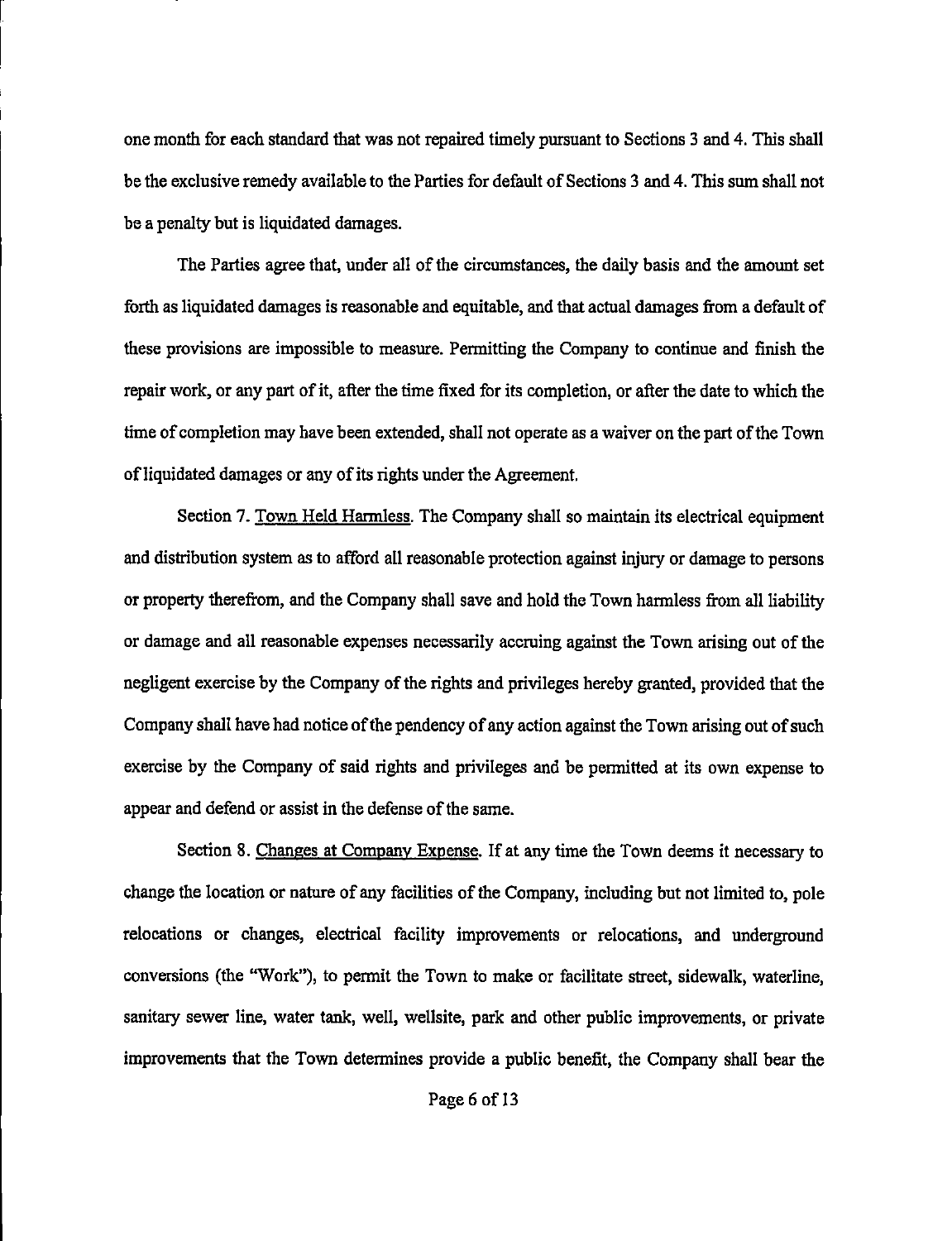one month for each standard that was not repaired timely pursuant to Sections 3 and 4. This shall be the exclusive remedy available to the Parties for default of Sections 3 and 4. This sum shall not be a penalty but is liquidated damages.

The Parties agree that, under all of the circumstances, the daily basis and the amount set forth as liquidated damages is reasonable and equitable, and that actual damages from a default of these provisions are impossible to measure. Permitting the Company to continue and finish the repair work, or any part of it, after the time fixed for its completion, or after the date to which the time of completion may have been extended, shall not operate as a waiver on the part of the Town of liquidated damages or any of its rights under the Agreement.

Section 7. Town Held Hannless. The Company shall so maintain its electrical equipment and distribution system as to afford all reasonable protection against injury or damage to persons or property therefrom, and the Company shall save and hold the Town harmless from all liability or damage and all reasonable expenses necessarily accruing against the Town arising out of the negligent exercise by the Company of the rights and privileges hereby granted, provided that the Company shall have had notice of the pendency of any action against the Town arising out of such exercise by the Company of said rights and privileges and be permitted at its own expense to appear and defend or assist in the defense of the same.

Section 8. Changes at Company Expense. If at any time the Town deems it necessary to change the location or nature of any facilities of the Company, including but not limited to, pole relocations or changes, electrical facility improvements or relocations, and underground conversions (the "Work"), to permit the Town to make or facilitate street, sidewalk, waterline, sanitary sewer line, water tank, well, wellsite, park and other public improvements, or private improvements that the Town determines provide a public benefit, the Company shall bear the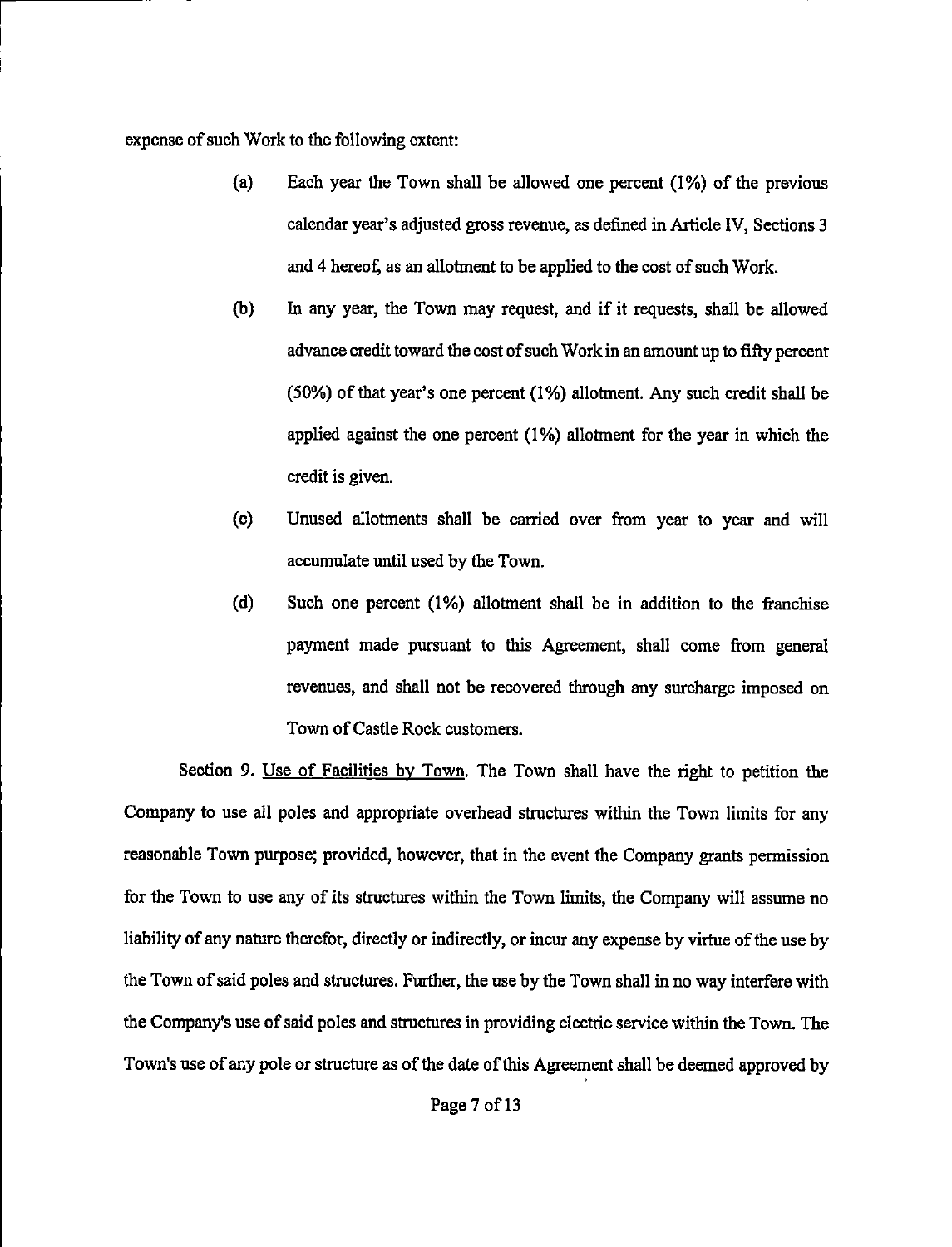expense of such Work to the following extent:

- (a) Each year the Town shall be allowed one percent (1%) of the previous calendar year's adjusted gross revenue, as defined in Article IV, Sections 3 and 4 hereof, as an allotment to be applied to the cost of such Work.
- (b) In any year, the Town may request, and if it requests, shall be allowed advance credit toward the cost of such Work in an amount up to fifty percent  $(50%)$  of that year's one percent  $(1%)$  allotment. Any such credit shall be applied against the one percent (1%) allotment for the year in which the credit is given.
- (c) Unused allotments shall be carried over from year to year and will accumulate until used by the Town.
- (d) Such one percent (1%) allotment shall be in addition to the franchise payment made pursuant to this Agreement, shall come from general revenues, and shall not be recovered through any surcharge imposed on Town ofCastle Rock customers.

Section 9. Use of Facilities by Town. The Town shall have the right to petition the Company to use all poles and appropriate overhead structures within the Town limits for any reasonable Town purpose; provided, however, that in the event the Company grants permission for the Town to use any of its structures within the Town limits, the Company will assume no liabilityof anynature therefor, directly or indirectly, or incurany expense by virtue of the use by the Townofsaid poles and structures. Further, the use by the Town shall in no way interferewith the Company's use of said poles and structures in providing electric service within the Town. The Town's use of any pole or structure as of the date of this Agreement shall be deemed approved by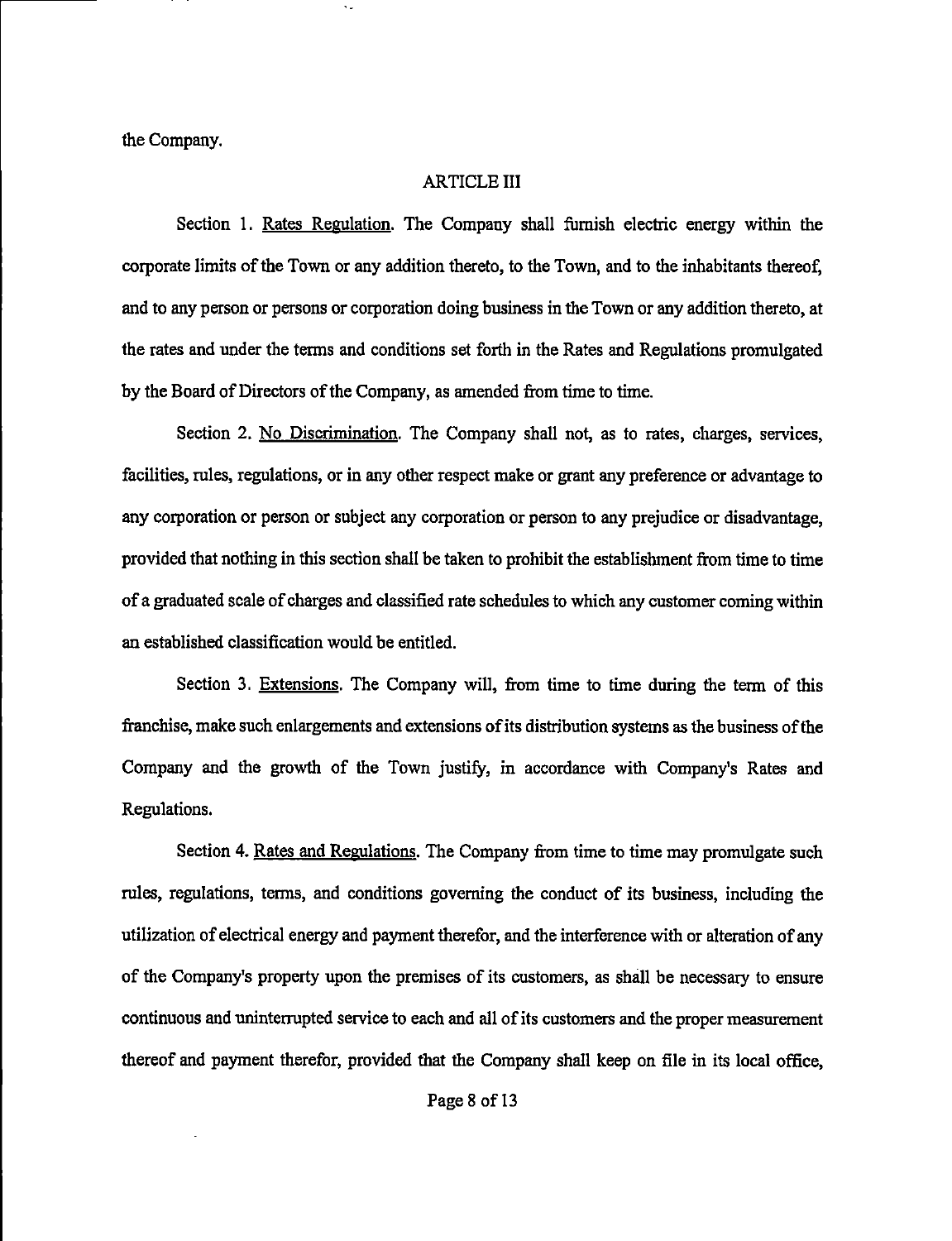the Company.

#### ARTICLE III

Section 1. Rates Regulation. The Company shall furnish electric energy within the corporate limits of the Town or any addition thereto, to the Town, and to the inhabitants thereof, and to any person or persons or corporation doing business in the Town or any addition thereto, at the rates and under the terms and conditions set forth in the Rates and Regulations promulgated by the Board of Directors of the Company, as amended from time to time.

Section 2. No Discrimination. The Company shall not, as to rates, charges, services, facilities, rules, regulations, or in any other respect make or grant any preference or advantage to any corporation or person or subject any corporation or person to any prejudice or disadvantage, provided that nothing in this section shall be taken to prohibit the establishment from time to time of a graduated scale of charges and classified rate schedules to which any customer coming within an established classification would be entitled.

Section 3. Extensions. The Company will, from time to time during the term of this franchise, make such enlargements and extensions of its distribution systems as the business of the Company and the growth of the Town justify, in accordance with Company's Rates and Regulations.

Section 4. Rates and Regulations. The Company from time to time may promulgate such rules, regulations, terms, and conditions governing the conduct of its business, including the utilization of electrical energy and payment therefor, and the interference with or alteration of any of the Company's property upon the premises of its customers, as shall be necessary to ensure continuous and uninterrupted service to each and all of its customers and the proper measurement thereof and payment therefor, provided that the Company shall keep on file in its local office.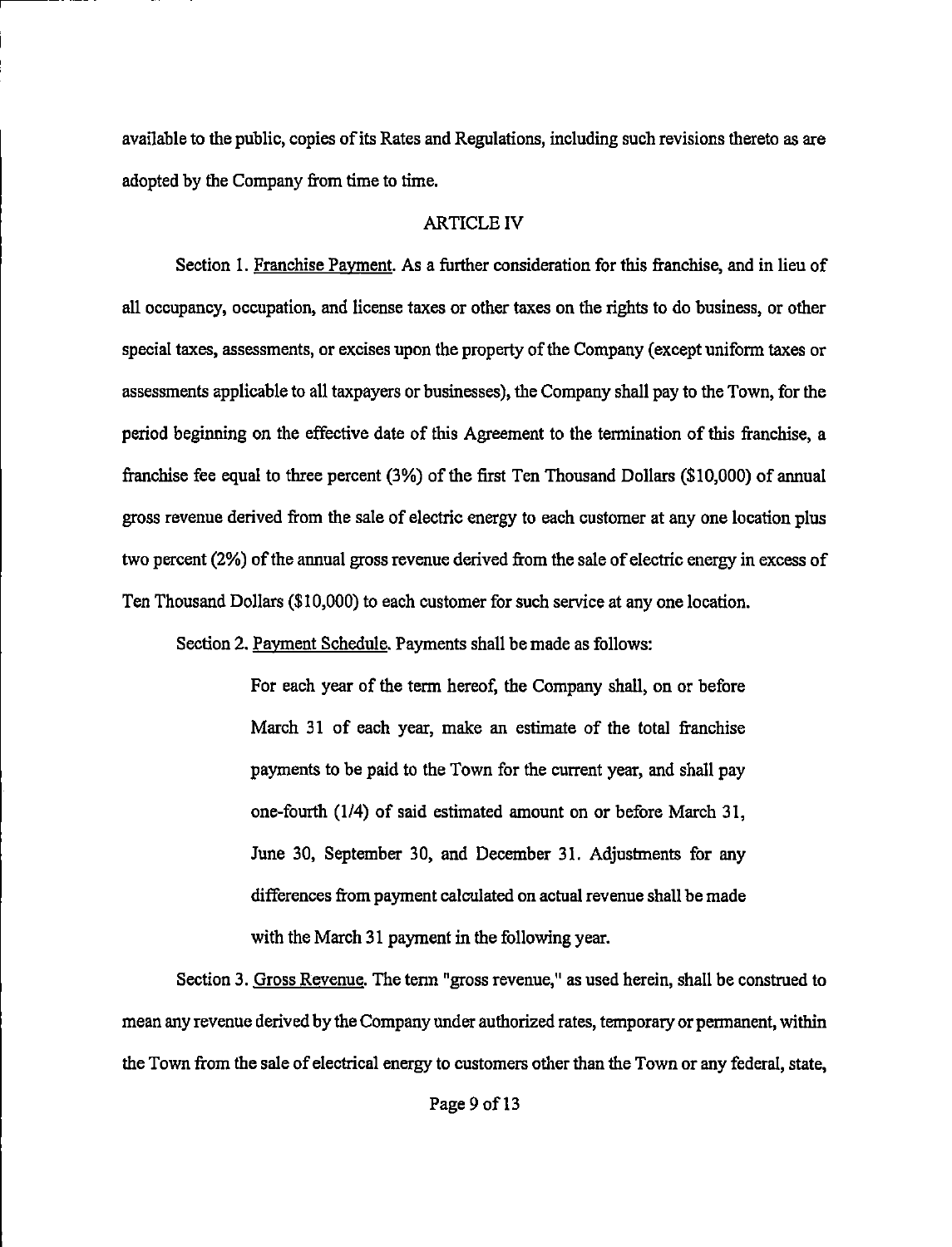available to the public, copies of its Rates and Regulations, including such revisions thereto as are adopted by the Company from time to time.

## ARTICLE IV

Section 1. Franchise Payment. As a further consideration for this franchise, and in lieu of all occupancy, occupation, and license taxes or other taxes on the rights to do business, or other special taxes, assessments, or excises upon the property of the Company (except uniform taxes or assessments applicable to all taxpayers or businesses), tlie Company shall pay to the Town, for the period beginning on the effective date of this Agreement to the termination of this franchise, a franchise fee equal to three percent  $(3%)$  of the first Ten Thousand Dollars (\$10,000) of annual gross revenue derived from the sale of electric energy to each customer at any one location plus two percent (2%) of the annual gross revenue derived from the sale of electric energy in excess of Ten Thousand Dollars (\$10,000) to each customer for such service at any one location.

Section 2. Payment Schedule. Payments shall be made as follows:

For each year of the term hereof, the Company shall, on or before March 31 of each year, make an estimate of the total franchise payments to be paid to the Town for the current year, and shall pay one-fourth (1/4) of said estimated amount on or before March 31, June 30, September 30, and December 31. Adjustments for any differences from payment calculated on actual revenue shall be made with the March 31 payment in the following year.

Section 3. Gross Revenue. The tenn "gross revenue," as used herein, shall be construed to mean any revenue derived by the Company under authorized rates, temporary or permanent, within the Town from the sale of electrical energy to customers other than the Town or any federal, state,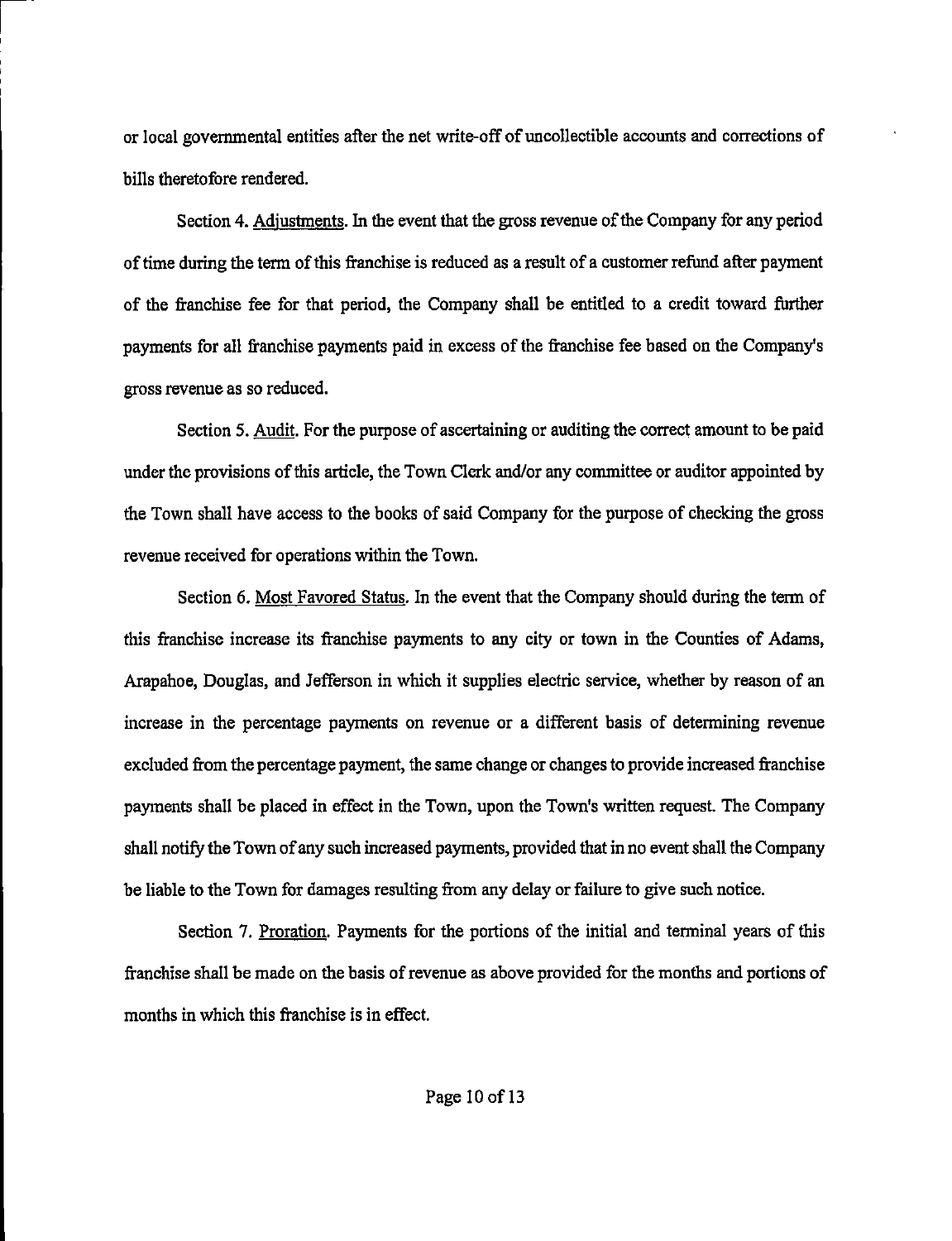or local governmental entities after the net write-off of uncollectible accounts and corrections of bills theretofore rendered.

Section 4. Adjustments. In the event that the gross revenue of the Company for any period oftime during the term ofthis franchise is reduced as a result of a customer refund after payment of the franchise fee for that period, the Company shall be entitled to a credit toward further payments for all franchise payments paid in excess of the franchise fee based on the Company's gross revenue as so reduced.

Section 5. Audit. For the purpose of ascertaining or auditing the correct amount to be paid under the provisions of this article, the Town Clerk and/or any committee or auditor appointed by the Town shall have access to the books of said Company for the purpose of checking the gross revenue received for operations within the Town.

Section 6. Most Favored Status. In the event that the Company should during the term of this franchise increase its franchise payments to any city or town in the Counties of Adams, Arapahoe, Douglas, and Jefferson in which it supplies electric service, whether by reason of an increase in the percentage payments on revenue or a different basis of determining revenue excluded from the percentage payment, the same change or changes to provide increased franchise payments shall be placed in effect in the Town, upon the Town's written request. The Company shall notify the Town ofany such increased payments, provided that in no event shall the Company be liable to the Town for damages resulting from any delay or failure to give such notice.

Section 7. Proration. Payments for the portions of the initial and terminal years of this franchise shall be made on the basis of revenue as above provided for the months and portions of months in which this franchise is in effect.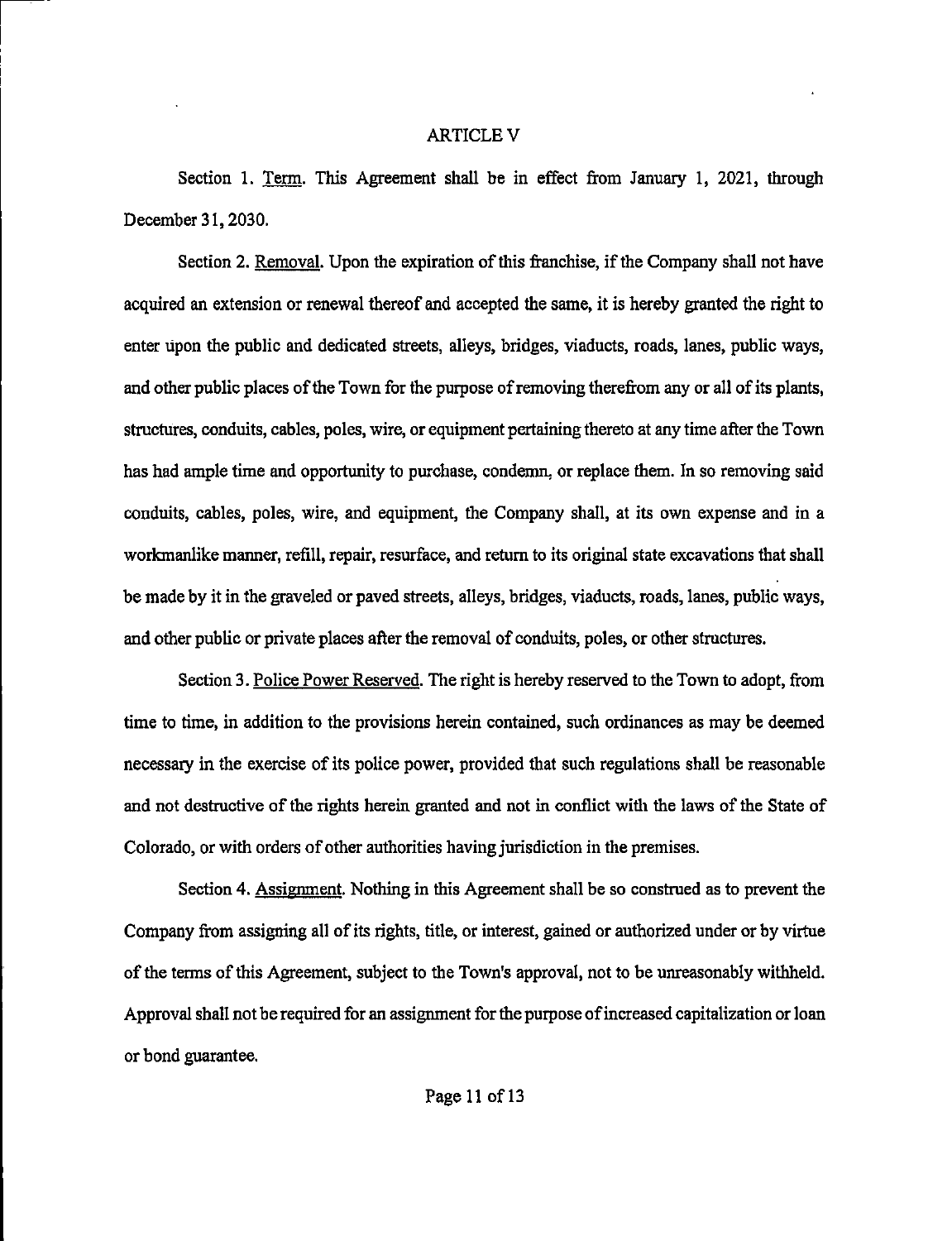#### ARTICLE V

Section 1. Term. This Agreement shall be in effect from January 1, 2021, through December 31,2030.

Section 2. Removal. Upon the expiration of this franchise, if the Company shall not have acquired an extension or renewal thereof and accepted the same, it is hereby granted the right to enter upon the public and dedicated streets, alleys, bridges, viaducts, roads, lanes, public ways, and other public places of the Town for the purpose of removing therefrom any or all of its plants, structures, conduits, cables, poles, wire, or equipment pertaining thereto at any time after the Town has had ample time and opportunity to purchase, condemn, or replace them. In so removing said conduits, cables, poles, wire, and equipment, the Company shall, at its own expense and in a workmanlike manner, refill, repair, resurface, and return to its original state excavations that shall be made by it in the graveled or paved streets, alleys, bridges, viaducts, roads, lanes, public ways, and other public or private places after the removal of conduits, poles, or other structures.

Section 3. Police Power Reserved. The right is hereby reserved to the Town to adopt, from time to time, in addition to the provisions herein contained, such ordinances as may be deemed necessary in the exercise of its police power, provided that such regulations shall be reasonable and not destructive of the rights herein granted and not in conflict with the laws of the State of Colorado, or with orders of other authorities having jurisdiction in the premises.

Section 4. Assignment. Nothing in this Agreement shall be so construed as to prevent the Company from assigning all of its rights, title, or interest, gained or authorized under or by virtue of the terms of this Agreement, subject to the Town's approval, not to be unreasonably withheld. Approval shall not be required for an assignment for the purpose of increased capitalization or loan or bond guarantee.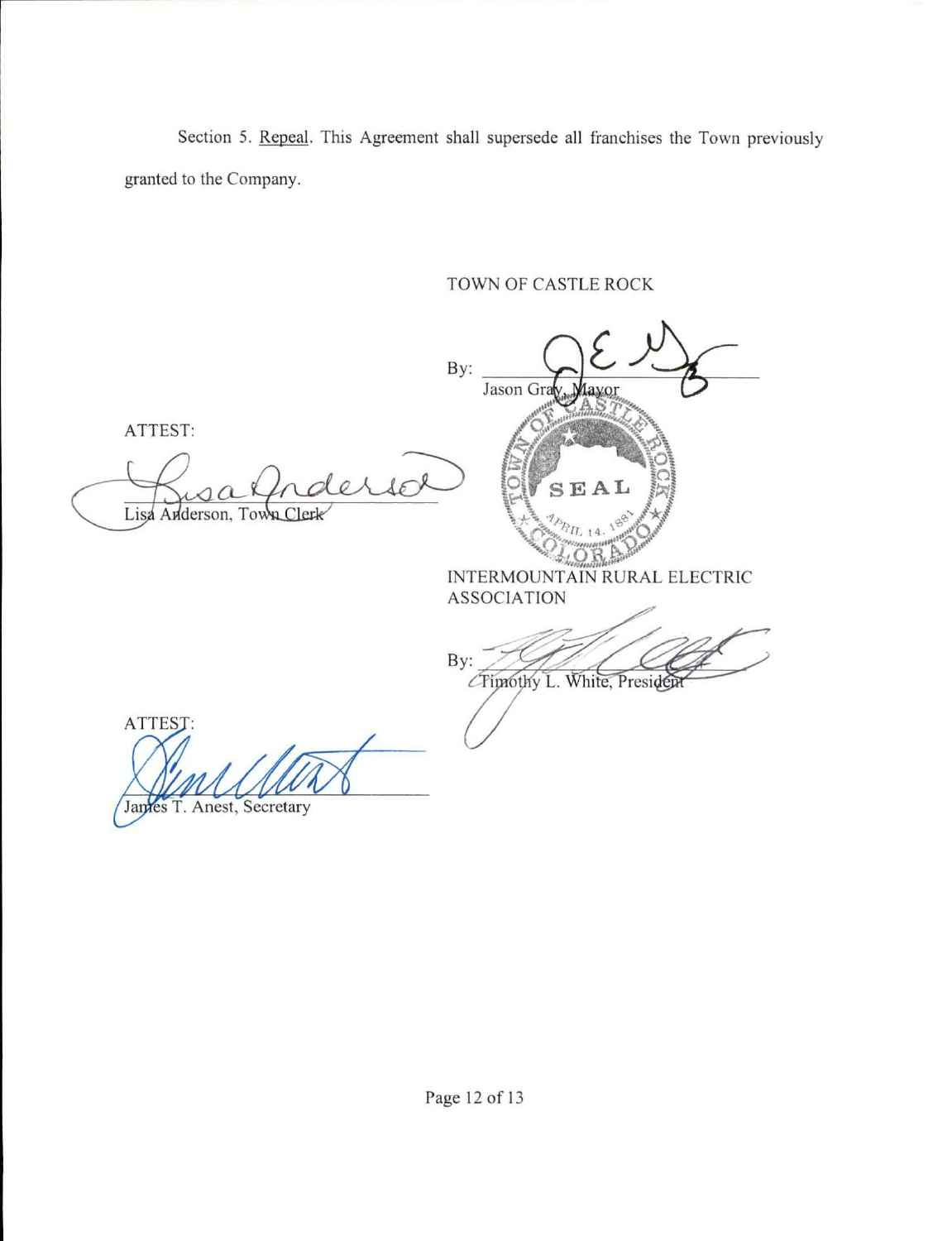Section 5. Repeal. This Agreement shall supersede all franchises the Town previously granted to the Company.

TOWN OF CASTLE ROCK

 $\overline{\mathcal{E}}$ By: Jason Gr  $av<sub>O</sub>$ ATTEST: AO dersol  $SEAL$ Lisa Anderson, Town Clerk INTERMOUNTAIN RURAL ELECTRIC ASSOCIATION By: Climothy L. White, Presiden ATTEST: James T. Anest, Secretary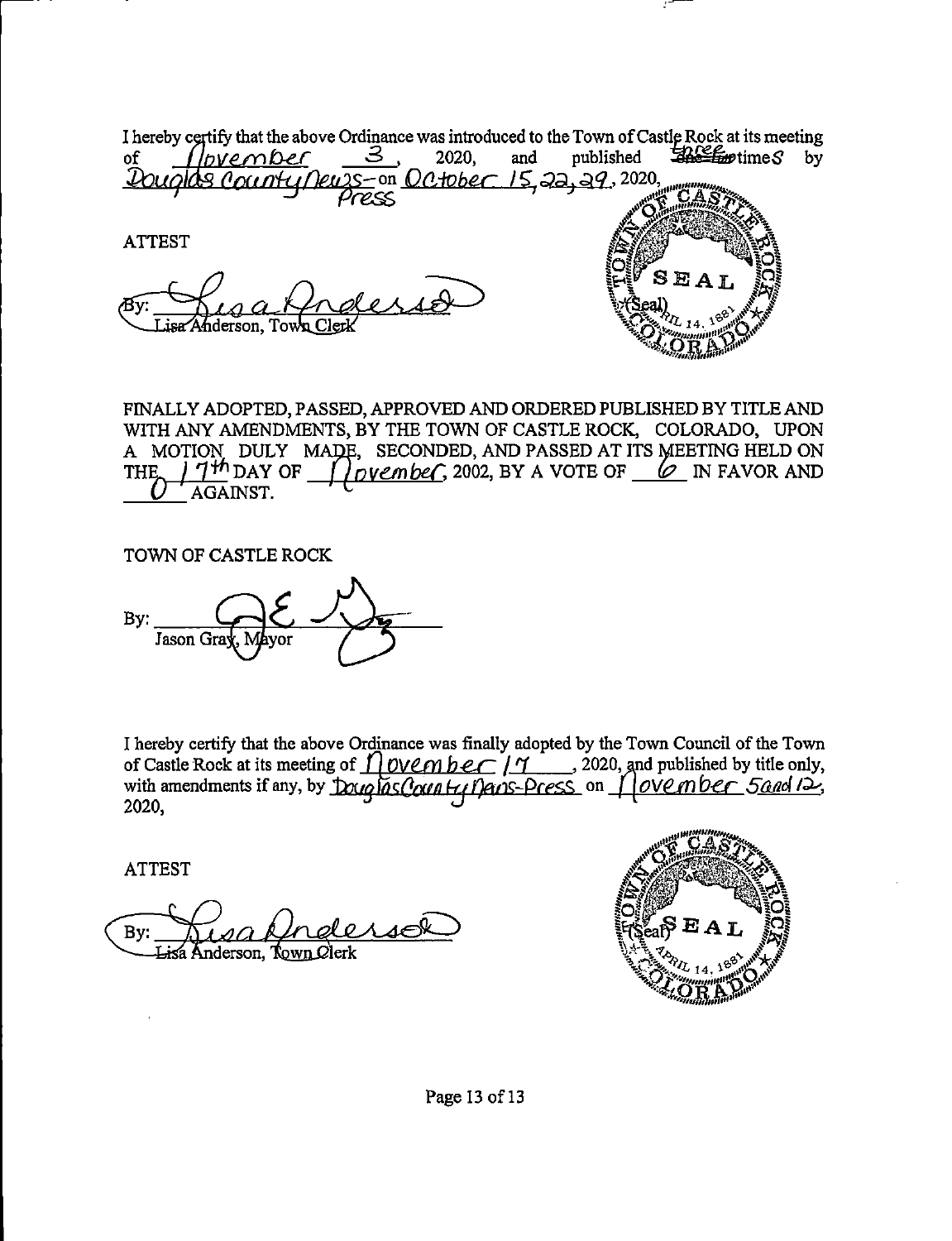I hereby certify that the above Ordinance was introduced to the Town of Castle Rock at its meeting<br>of  $\int_{D} V e \wedge D e \wedge S$ , 2020, and published  $\frac{1}{2}$ of  $\int$  *hvember* 3, 2020, and published  $\frac{1}{2}$   $\frac{1}{2}$  by JS-on <u>OCtober 15,22,29</u>,2020,<br>*Press* ATTEST  $SLA<sub>L</sub>$ LL CLIPT

FINALLY ADOPTED, PASSED, APPROVED AND ORDERED PUBLISHED BY TITLE AND WITH ANY AMENDMENTS, BY THE TOWN OF CASTLE ROCK, COLORADO, UPON A MOTION, DULY MADE, SECONDED, AND PASSED AT ITS MEETING HELD ON THE  $\int$  7<sup>th</sup> DAY OF  $\int$  *pvember*, 2002, BY A VOTE OF <u>6</u> IN FAVOR AND AGAINST.

TOWN OF CASTLE ROCK

By: Jason Gra

I hereby certify that the above Ordinance was finally adopted by the Town Council ofthe Town of Castle Rock at its meeting of  $\bigcap_{\alpha} V\subseteq N$  /  $\bigcap_{\alpha} V$  2020, and published by title only, with amendments if any, by  $\bigcap_{\alpha} V\subseteq N$  ( $\bigcap_{\alpha} V\subseteq N$  and  $\bigcap_{\alpha} V\subseteq N$ ) and published by title only, with amendments if any, by  $\log\log\log\log H$  /  $\log\log\log$ -Presson.  $2020,$   $\hspace{1.5cm}$   $\hspace{1.5cm}$   $\hspace{1.5cm}$   $\hspace{1.5cm}$   $\hspace{1.5cm}$   $\hspace{1.5cm}$   $\hspace{1.5cm}$   $\hspace{1.5cm}$   $\hspace{1.5cm}$   $\hspace{1.5cm}$   $\hspace{1.5cm}$   $\hspace{1.5cm}$   $\hspace{1.5cm}$   $\hspace{1.5cm}$   $\hspace{1.5cm}$   $\hspace{1.5cm}$   $\hspace{1.5cm}$   $\hspace{1.5cm$ 

ATTEST

By: sa Anderson, T<u>own C</u>lerk



Page 13 of 13